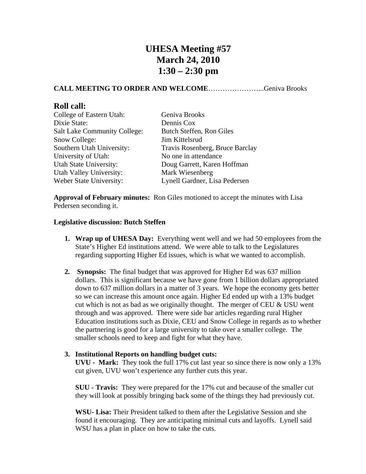# **UHESA Meeting #57 March 24, 2010 1:30 – 2:30 pm**

## **CALL MEETING TO ORDER AND WELCOME**…………………...Geniva Brooks

## **Roll call:**

| College of Eastern Utah:            | Geniva Brooks                   |
|-------------------------------------|---------------------------------|
| Dixie State:                        | Dennis Cox                      |
| <b>Salt Lake Community College:</b> | Butch Steffen, Ron Giles        |
| Snow College:                       | Jim Kittelsrud                  |
| Southern Utah University:           | Travis Rosenberg, Bruce Barclay |
| University of Utah:                 | No one in attendance            |
| Utah State University:              | Doug Garrett, Karen Hoffman     |
| Utah Valley University:             | Mark Wiesenberg                 |
| Weber State University:             | Lynell Gardner, Lisa Pedersen   |

**Approval of February minutes:** Ron Giles motioned to accept the minutes with Lisa Pedersen seconding it.

### **Legislative discussion: Butch Steffen**

- **1. Wrap up of UHESA Day:** Everything went well and we had 50 employees from the State's Higher Ed institutions attend. We were able to talk to the Legislatures regarding supporting Higher Ed issues, which is what we wanted to accomplish.
- **2. Synopsis:** The final budget that was approved for Higher Ed was 637 million dollars. This is significant because we have gone from 1 billion dollars appropriated down to 637 million dollars in a matter of 3 years. We hope the economy gets better so we can increase this amount once again. Higher Ed ended up with a 13% budget cut which is not as bad as we originally thought. The merger of CEU  $&$  USU went through and was approved. There were side bar articles regarding rural Higher Education institutions such as Dixie, CEU and Snow College in regards as to whether the partnering is good for a large university to take over a smaller college. The smaller schools need to keep and fight for what they have.

### **3. Institutional Reports on handling budget cuts:**

**UVU - Mark:** They took the full 17% cut last year so since there is now only a 13% cut given, UVU won't experience any further cuts this year.

**SUU - Travis:** They were prepared for the 17% cut and because of the smaller cut they will look at possibly bringing back some of the things they had previously cut.

**WSU- Lisa:** Their President talked to them after the Legislative Session and she found it encouraging. They are anticipating minimal cuts and layoffs. Lynell said WSU has a plan in place on how to take the cuts.